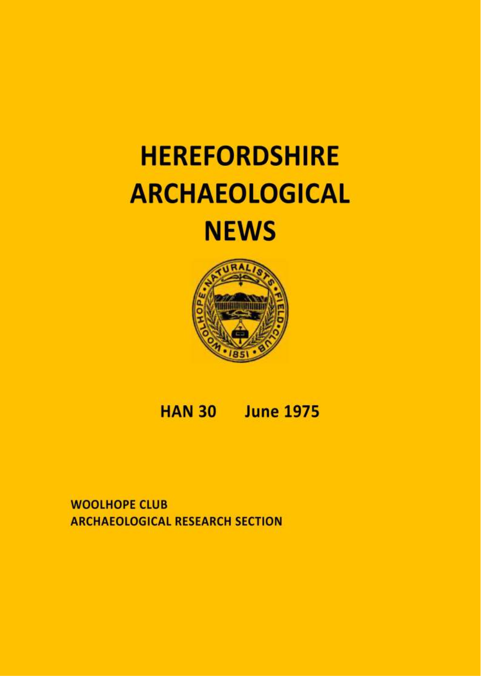# **HEREFORDSHIRE ARCHAEOLOGICAL NEWS**



# **HAN 30 June 1975**

**WOOLHOPE CLUB ARCHAEOLOGICAL RESEARCH SECTION**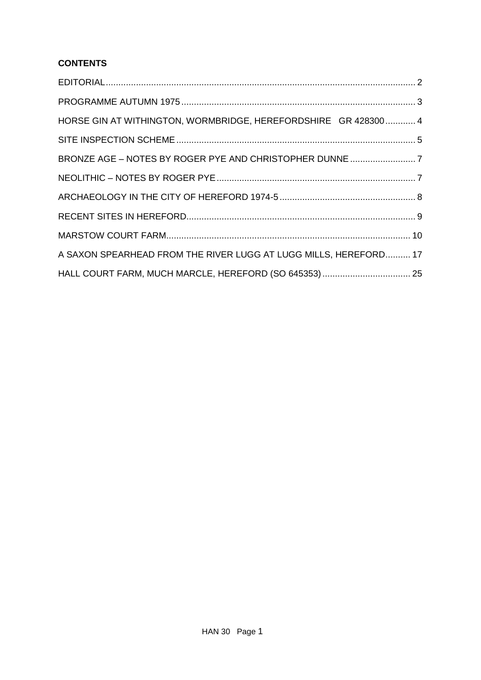# **CONTENTS**

| HORSE GIN AT WITHINGTON, WORMBRIDGE, HEREFORDSHIRE GR 428300 4   |
|------------------------------------------------------------------|
|                                                                  |
|                                                                  |
|                                                                  |
|                                                                  |
|                                                                  |
|                                                                  |
| A SAXON SPEARHEAD FROM THE RIVER LUGG AT LUGG MILLS, HEREFORD 17 |
|                                                                  |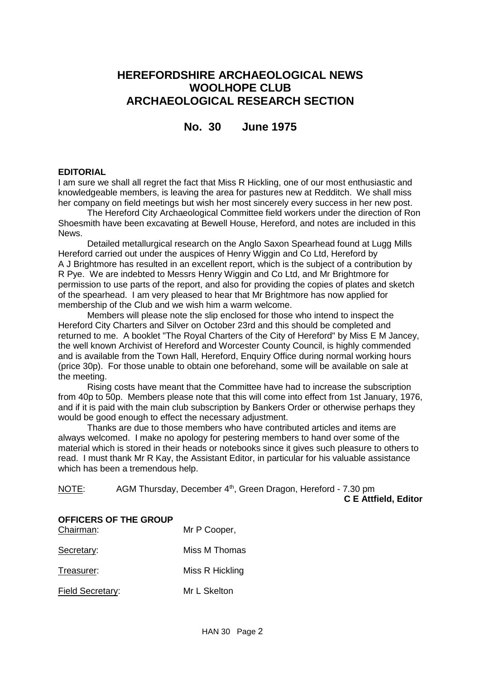# **HEREFORDSHIRE ARCHAEOLOGICAL NEWS WOOLHOPE CLUB ARCHAEOLOGICAL RESEARCH SECTION**

# **No. 30 June 1975**

#### <span id="page-2-0"></span>**EDITORIAL**

I am sure we shall all regret the fact that Miss R Hickling, one of our most enthusiastic and knowledgeable members, is leaving the area for pastures new at Redditch. We shall miss her company on field meetings but wish her most sincerely every success in her new post.

The Hereford City Archaeological Committee field workers under the direction of Ron Shoesmith have been excavating at Bewell House, Hereford, and notes are included in this News.

Detailed metallurgical research on the Anglo Saxon Spearhead found at Lugg Mills Hereford carried out under the auspices of Henry Wiggin and Co Ltd, Hereford by A J Brightmore has resulted in an excellent report, which is the subject of a contribution by R Pye. We are indebted to Messrs Henry Wiggin and Co Ltd, and Mr Brightmore for permission to use parts of the report, and also for providing the copies of plates and sketch of the spearhead. I am very pleased to hear that Mr Brightmore has now applied for membership of the Club and we wish him a warm welcome.

Members will please note the slip enclosed for those who intend to inspect the Hereford City Charters and Silver on October 23rd and this should be completed and returned to me. A booklet "The Royal Charters of the City of Hereford" by Miss E M Jancey, the well known Archivist of Hereford and Worcester County Council, is highly commended and is available from the Town Hall, Hereford, Enquiry Office during normal working hours (price 30p). For those unable to obtain one beforehand, some will be available on sale at the meeting.

Rising costs have meant that the Committee have had to increase the subscription from 40p to 50p. Members please note that this will come into effect from 1st January, 1976, and if it is paid with the main club subscription by Bankers Order or otherwise perhaps they would be good enough to effect the necessary adjustment.

Thanks are due to those members who have contributed articles and items are always welcomed. I make no apology for pestering members to hand over some of the material which is stored in their heads or notebooks since it gives such pleasure to others to read. I must thank Mr R Kay, the Assistant Editor, in particular for his valuable assistance which has been a tremendous help.

| NOTE: | AGM Thursday, December 4 <sup>th</sup> , Green Dragon, Hereford - 7.30 pm |                             |  |
|-------|---------------------------------------------------------------------------|-----------------------------|--|
|       |                                                                           | <b>C E Attfield, Editor</b> |  |

| OFFICERS OF THE GROUP<br>Chairman: | Mr P Cooper,    |
|------------------------------------|-----------------|
| Secretary:                         | Miss M Thomas   |
| Treasurer:                         | Miss R Hickling |
| <b>Field Secretary:</b>            | Mr L Skelton    |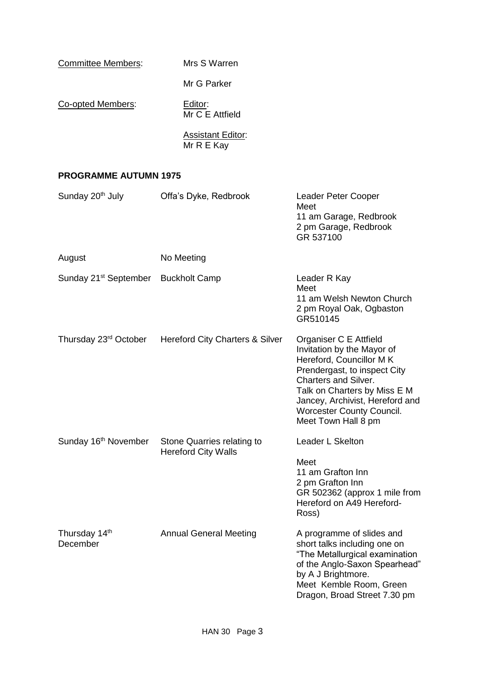| <b>Committee Members:</b> | Mrs S Warren                           |
|---------------------------|----------------------------------------|
|                           | Mr G Parker                            |
| Co-opted Members:         | Editor:<br>Mr C E Attfield             |
|                           | <b>Assistant Editor:</b><br>Mr R E Kay |

# <span id="page-3-0"></span>**PROGRAMME AUTUMN 1975**

| Sunday 20 <sup>th</sup> July                    | Offa's Dyke, Redbrook                                    | Leader Peter Cooper<br>Meet<br>11 am Garage, Redbrook<br>2 pm Garage, Redbrook<br>GR 537100                                                                                                                                                                           |
|-------------------------------------------------|----------------------------------------------------------|-----------------------------------------------------------------------------------------------------------------------------------------------------------------------------------------------------------------------------------------------------------------------|
| August                                          | No Meeting                                               |                                                                                                                                                                                                                                                                       |
| Sunday 21 <sup>st</sup> September Buckholt Camp |                                                          | Leader R Kay<br>Meet<br>11 am Welsh Newton Church<br>2 pm Royal Oak, Ogbaston<br>GR510145                                                                                                                                                                             |
| Thursday 23 <sup>rd</sup> October               | <b>Hereford City Charters &amp; Silver</b>               | Organiser C E Attfield<br>Invitation by the Mayor of<br>Hereford, Councillor MK<br>Prendergast, to inspect City<br>Charters and Silver.<br>Talk on Charters by Miss E M<br>Jancey, Archivist, Hereford and<br><b>Worcester County Council.</b><br>Meet Town Hall 8 pm |
| Sunday 16 <sup>th</sup> November                | Stone Quarries relating to<br><b>Hereford City Walls</b> | Leader L Skelton<br>Meet<br>11 am Grafton Inn<br>2 pm Grafton Inn<br>GR 502362 (approx 1 mile from<br>Hereford on A49 Hereford-<br>Ross)                                                                                                                              |
| Thursday 14 <sup>th</sup><br>December           | <b>Annual General Meeting</b>                            | A programme of slides and<br>short talks including one on<br>"The Metallurgical examination<br>of the Anglo-Saxon Spearhead"<br>by A J Brightmore.<br>Meet Kemble Room, Green<br>Dragon, Broad Street 7.30 pm                                                         |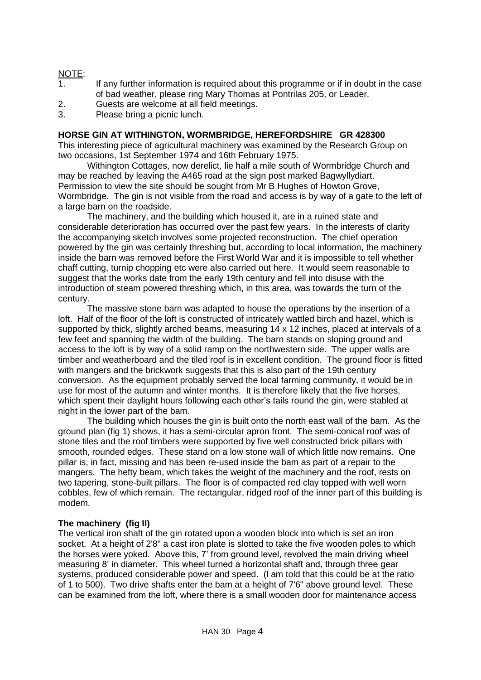# NOTE:

- 1. If any further information is required about this programme or if in doubt in the case of bad weather, please ring Mary Thomas at Pontrilas 205, or Leader.
- 2. Guests are welcome at all field meetings.
- 3. Please bring a picnic lunch.

#### <span id="page-4-0"></span>**HORSE GIN AT WITHINGTON, WORMBRIDGE, HEREFORDSHIRE GR 428300**

This interesting piece of agricultural machinery was examined by the Research Group on two occasions, 1st September 1974 and 16th February 1975.

Withington Cottages, now derelict, lie half a mile south of Wormbridge Church and may be reached by leaving the A465 road at the sign post marked Bagwyllydiart. Permission to view the site should be sought from Mr B Hughes of Howton Grove, Wormbridge. The gin is not visible from the road and access is by way of a gate to the left of a large barn on the roadside.

The machinery, and the building which housed it, are in a ruined state and considerable deterioration has occurred over the past few years. In the interests of clarity the accompanying sketch involves some projected reconstruction. The chief operation powered by the gin was certainly threshing but, according to local information, the machinery inside the barn was removed before the First World War and it is impossible to tell whether chaff cutting, turnip chopping etc were also carried out here. It would seem reasonable to suggest that the works date from the early 19th century and fell into disuse with the introduction of steam powered threshing which, in this area, was towards the turn of the century.

The massive stone barn was adapted to house the operations by the insertion of a loft. Half of the floor of the loft is constructed of intricately wattled birch and hazel, which is supported by thick, slightly arched beams, measuring 14 x 12 inches, placed at intervals of a few feet and spanning the width of the building. The barn stands on sloping ground and access to the loft is by way of a solid ramp on the northwestern side. The upper walls are timber and weatherboard and the tiled roof is in excellent condition. The ground floor is fitted with mangers and the brickwork suggests that this is also part of the 19th century conversion. As the equipment probably served the local farming community, it would be in use for most of the autumn and winter months. It is therefore likely that the five horses, which spent their daylight hours following each other's tails round the gin, were stabled at night in the lower part of the bam.

The building which houses the gin is built onto the north east wall of the bam. As the ground plan (fig 1) shows, it has a semi-circular apron front. The semi-conical roof was of stone tiles and the roof timbers were supported by five well constructed brick pillars with smooth, rounded edges. These stand on a low stone wall of which little now remains. One pillar is, in fact, missing and has been re-used inside the bam as part of a repair to the mangers. The hefty beam, which takes the weight of the machinery and the roof, rests on two tapering, stone-built pillars. The floor is of compacted red clay topped with well worn cobbles, few of which remain. The rectangular, ridged roof of the inner part of this building is modem.

#### **The machinery (fig II)**

The vertical iron shaft of the gin rotated upon a wooden block into which is set an iron socket. At a height of 2'8" a cast iron plate is slotted to take the five wooden poles to which the horses were yoked. Above this, 7' from ground level, revolved the main driving wheel measuring 8' in diameter. This wheel turned a horizontal shaft and, through three gear systems, produced considerable power and speed. (l am told that this could be at the ratio of 1 to 500). Two drive shafts enter the bam at a height of 7'6" above ground level. These can be examined from the loft, where there is a small wooden door for maintenance access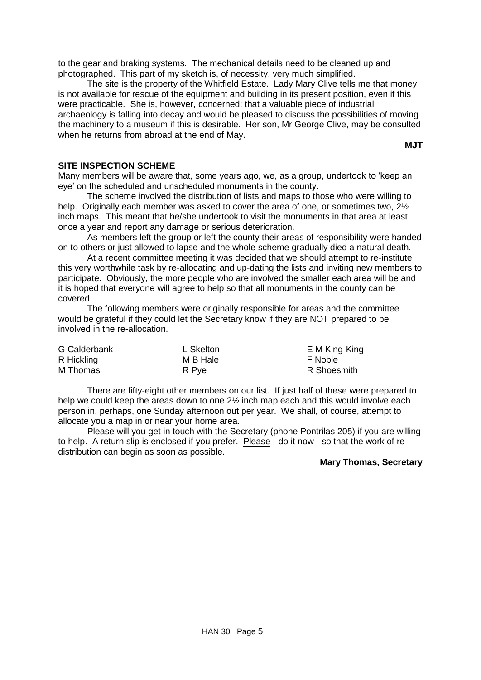to the gear and braking systems. The mechanical details need to be cleaned up and photographed. This part of my sketch is, of necessity, very much simplified.

The site is the property of the Whitfield Estate. Lady Mary Clive tells me that money is not available for rescue of the equipment and building in its present position, even if this were practicable. She is, however, concerned: that a valuable piece of industrial archaeology is falling into decay and would be pleased to discuss the possibilities of moving the machinery to a museum if this is desirable. Her son, Mr George Clive, may be consulted when he returns from abroad at the end of May.

**MJT**

#### <span id="page-5-0"></span>**SITE INSPECTION SCHEME**

Many members will be aware that, some years ago, we, as a group, undertook to 'keep an eye' on the scheduled and unscheduled monuments in the county.

The scheme involved the distribution of lists and maps to those who were willing to help. Originally each member was asked to cover the area of one, or sometimes two,  $2\frac{1}{2}$ inch maps. This meant that he/she undertook to visit the monuments in that area at least once a year and report any damage or serious deterioration.

As members left the group or left the county their areas of responsibility were handed on to others or just allowed to lapse and the whole scheme gradually died a natural death.

At a recent committee meeting it was decided that we should attempt to re-institute this very worthwhile task by re-allocating and up-dating the lists and inviting new members to participate. Obviously, the more people who are involved the smaller each area will be and it is hoped that everyone will agree to help so that all monuments in the county can be covered.

The following members were originally responsible for areas and the committee would be grateful if they could let the Secretary know if they are NOT prepared to be involved in the re-allocation.

| <b>G</b> Calderbank | L Skelton | E M King-King |
|---------------------|-----------|---------------|
| R Hickling          | M B Hale  | F Noble       |
| M Thomas            | R Pye     | R Shoesmith   |

There are fifty-eight other members on our list. If just half of these were prepared to help we could keep the areas down to one 2½ inch map each and this would involve each person in, perhaps, one Sunday afternoon out per year. We shall, of course, attempt to allocate you a map in or near your home area.

Please will you get in touch with the Secretary (phone Pontrilas 205) if you are willing to help. A return slip is enclosed if you prefer. Please - do it now - so that the work of redistribution can begin as soon as possible.

#### **Mary Thomas, Secretary**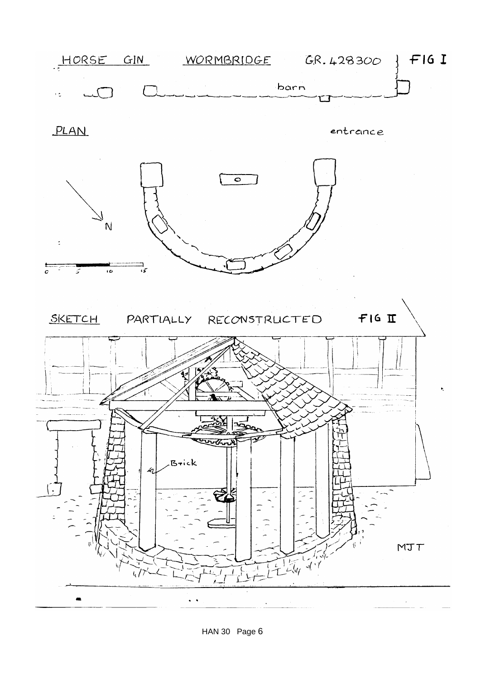

HAN 30 Page 6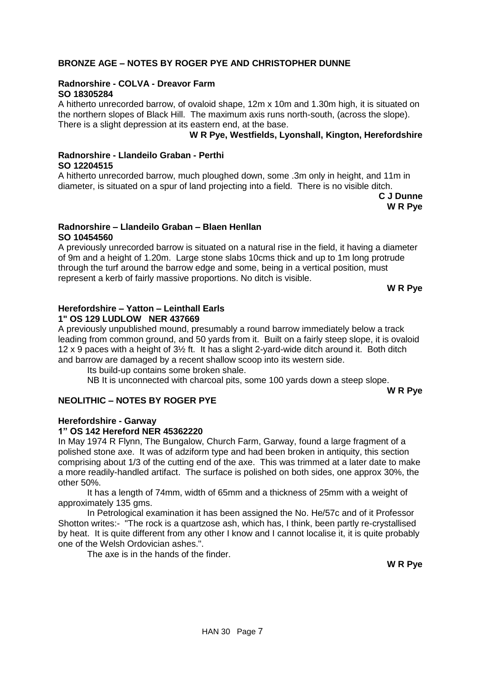#### <span id="page-7-0"></span>**BRONZE AGE – NOTES BY ROGER PYE AND CHRISTOPHER DUNNE**

#### **Radnorshire - COLVA - Dreavor Farm SO 18305284**

A hitherto unrecorded barrow, of ovaloid shape, 12m x 10m and 1.30m high, it is situated on the northern slopes of Black Hill. The maximum axis runs north-south, (across the slope). There is a slight depression at its eastern end, at the base.

#### **W R Pye, Westfields, Lyonshall, Kington, Herefordshire**

# **Radnorshire - Llandeilo Graban - Perthi SO 12204515**

A hitherto unrecorded barrow, much ploughed down, some .3m only in height, and 11m in diameter, is situated on a spur of land projecting into a field. There is no visible ditch.

> **C J Dunne W R Pye**

#### **Radnorshire – Llandeilo Graban – Blaen Henllan SO 10454560**

A previously unrecorded barrow is situated on a natural rise in the field, it having a diameter of 9m and a height of 1.20m. Large stone slabs 10cms thick and up to 1m long protrude through the turf around the barrow edge and some, being in a vertical position, must represent a kerb of fairly massive proportions. No ditch is visible.

**W R Pye**

#### **Herefordshire – Yatton – Leinthall Earls 1" OS 129 LUDLOW NER 437669**

A previously unpublished mound, presumably a round barrow immediately below a track leading from common ground, and 50 yards from it. Built on a fairly steep slope, it is ovaloid 12 x 9 paces with a height of 3½ ft. It has a slight 2-yard-wide ditch around it. Both ditch and barrow are damaged by a recent shallow scoop into its western side.

Its build-up contains some broken shale.

NB It is unconnected with charcoal pits, some 100 yards down a steep slope.

**W R Pye**

#### <span id="page-7-1"></span>**NEOLITHIC – NOTES BY ROGER PYE**

#### **Herefordshire - Garway**

#### **1" OS 142 Hereford NER 45362220**

In May 1974 R Flynn, The Bungalow, Church Farm, Garway, found a large fragment of a polished stone axe. It was of adziform type and had been broken in antiquity, this section comprising about 1/3 of the cutting end of the axe. This was trimmed at a later date to make a more readily-handled artifact. The surface is polished on both sides, one approx 30%, the other 50%.

It has a length of 74mm, width of 65mm and a thickness of 25mm with a weight of approximately 135 gms.

In Petrological examination it has been assigned the No. He/57c and of it Professor Shotton writes:- "The rock is a quartzose ash, which has, I think, been partly re-crystallised by heat. It is quite different from any other I know and I cannot localise it, it is quite probably one of the Welsh Ordovician ashes.".

The axe is in the hands of the finder.

**W R Pye**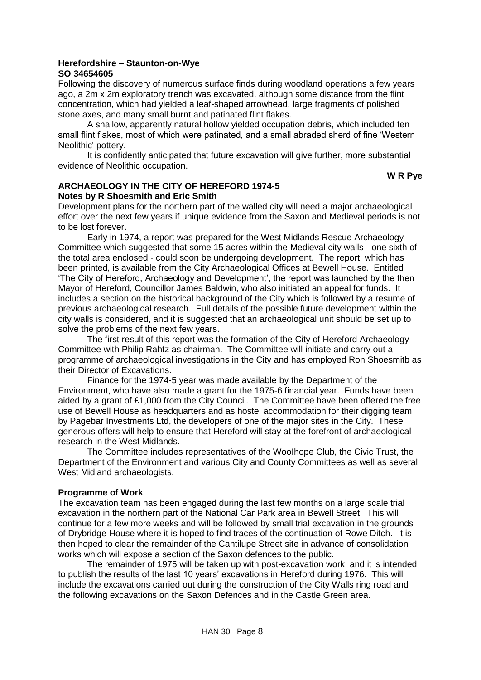#### **Herefordshire – Staunton-on-Wye SO 34654605**

Following the discovery of numerous surface finds during woodland operations a few years ago, a 2m x 2m exploratory trench was excavated, although some distance from the flint concentration, which had yielded a leaf-shaped arrowhead, large fragments of polished stone axes, and many small burnt and patinated flint flakes.

A shallow, apparently natural hollow yielded occupation debris, which included ten small flint flakes, most of which were patinated, and a small abraded sherd of fine 'Western Neolithic' pottery.

It is confidently anticipated that future excavation will give further, more substantial evidence of Neolithic occupation.

**W R Pye**

# <span id="page-8-0"></span>**ARCHAEOLOGY IN THE CITY OF HEREFORD 1974-5 Notes by R Shoesmith and Eric Smith**

Development plans for the northern part of the walled city will need a major archaeological effort over the next few years if unique evidence from the Saxon and Medieval periods is not to be lost forever.

Early in 1974, a report was prepared for the West Midlands Rescue Archaeology Committee which suggested that some 15 acres within the Medieval city walls - one sixth of the total area enclosed - could soon be undergoing development. The report, which has been printed, is available from the City Archaeological Offices at Bewell House. Entitled 'The City of Hereford, Archaeology and Development', the report was launched by the then Mayor of Hereford, Councillor James Baldwin, who also initiated an appeal for funds. It includes a section on the historical background of the City which is followed by a resume of previous archaeological research. Full details of the possible future development within the city walls is considered, and it is suggested that an archaeological unit should be set up to solve the problems of the next few years.

The first result of this report was the formation of the City of Hereford Archaeology Committee with Philip Rahtz as chairman. The Committee will initiate and carry out a programme of archaeological investigations in the City and has employed Ron Shoesmitb as their Director of Excavations.

Finance for the 1974-5 year was made available by the Department of the Environment, who have also made a grant for the 1975-6 financial year. Funds have been aided by a grant of £1,000 from the City Council. The Committee have been offered the free use of Bewell House as headquarters and as hostel accommodation for their digging team by Pagebar Investments Ltd, the developers of one of the major sites in the City. These generous offers will help to ensure that Hereford will stay at the forefront of archaeological research in the West Midlands.

The Committee includes representatives of the WooIhope Club, the Civic Trust, the Department of the Environment and various City and County Committees as well as several West Midland archaeologists.

#### **Programme of Work**

The excavation team has been engaged during the last few months on a large scale trial excavation in the northern part of the National Car Park area in Bewell Street. This will continue for a few more weeks and will be followed by small trial excavation in the grounds of Drybridge House where it is hoped to find traces of the continuation of Rowe Ditch. It is then hoped to clear the remainder of the Cantilupe Street site in advance of consolidation works which will expose a section of the Saxon defences to the public.

The remainder of 1975 will be taken up with post-excavation work, and it is intended to publish the results of the last 10 years' excavations in Hereford during 1976. This will include the excavations carried out during the construction of the City Walls ring road and the following excavations on the Saxon Defences and in the Castle Green area.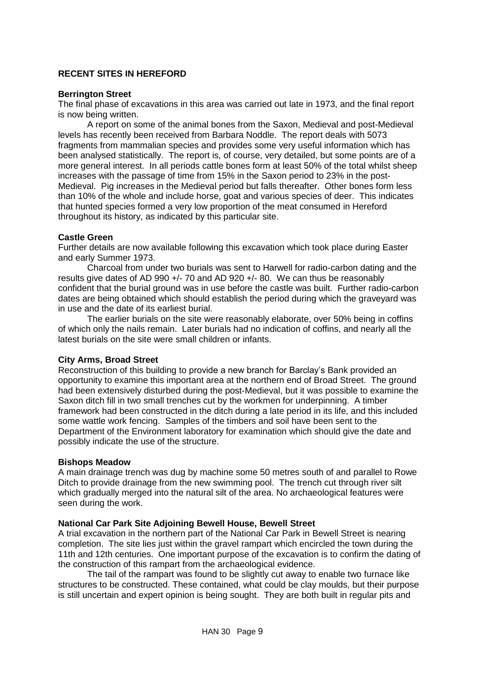# <span id="page-9-0"></span>**RECENT SITES IN HEREFORD**

#### **Berrington Street**

The final phase of excavations in this area was carried out late in 1973, and the final report is now being written.

A report on some of the animal bones from the Saxon, Medieval and post-Medieval levels has recently been received from Barbara Noddle. The report deals with 5073 fragments from mammalian species and provides some very useful information which has been analysed statistically. The report is, of course, very detailed, but some points are of a more general interest. In all periods cattle bones form at least 50% of the total whilst sheep increases with the passage of time from 15% in the Saxon period to 23% in the post-Medieval. Pig increases in the Medieval period but falls thereafter. Other bones form less than 10% of the whole and include horse, goat and various species of deer. This indicates that hunted species formed a very low proportion of the meat consumed in Hereford throughout its history, as indicated by this particular site.

#### **Castle Green**

Further details are now available following this excavation which took place during Easter and early Summer 1973.

Charcoal from under two burials was sent to Harwell for radio-carbon dating and the results give dates of AD 990 +/- 70 and AD 920 +/- 80. We can thus be reasonably confident that the burial ground was in use before the castle was built. Further radio-carbon dates are being obtained which should establish the period during which the graveyard was in use and the date of its earliest burial.

The earlier burials on the site were reasonably elaborate, over 50% being in coffins of which only the nails remain. Later burials had no indication of coffins, and nearly all the latest burials on the site were small children or infants.

#### **City Arms, Broad Street**

Reconstruction of this building to provide a new branch for Barclay's Bank provided an opportunity to examine this important area at the northern end of Broad Street. The ground had been extensively disturbed during the post-Medieval, but it was possible to examine the Saxon ditch fill in two small trenches cut by the workmen for underpinning. A timber framework had been constructed in the ditch during a late period in its life, and this included some wattle work fencing. Samples of the timbers and soil have been sent to the Department of the Environment laboratory for examination which should give the date and possibly indicate the use of the structure.

#### **Bishops Meadow**

A main drainage trench was dug by machine some 50 metres south of and parallel to Rowe Ditch to provide drainage from the new swimming pool. The trench cut through river silt which gradually merged into the natural silt of the area. No archaeological features were seen during the work.

#### **National Car Park Site Adjoining Bewell House, Bewell Street**

A trial excavation in the northern part of the National Car Park in Bewell Street is nearing completion. The site lies just within the gravel rampart which encircled the town during the 11th and 12th centuries. One important purpose of the excavation is to confirm the dating of the construction of this rampart from the archaeological evidence.

The tail of the rampart was found to be slightly cut away to enable two furnace like structures to be constructed. These contained, what could be clay moulds, but their purpose is still uncertain and expert opinion is being sought. They are both built in regular pits and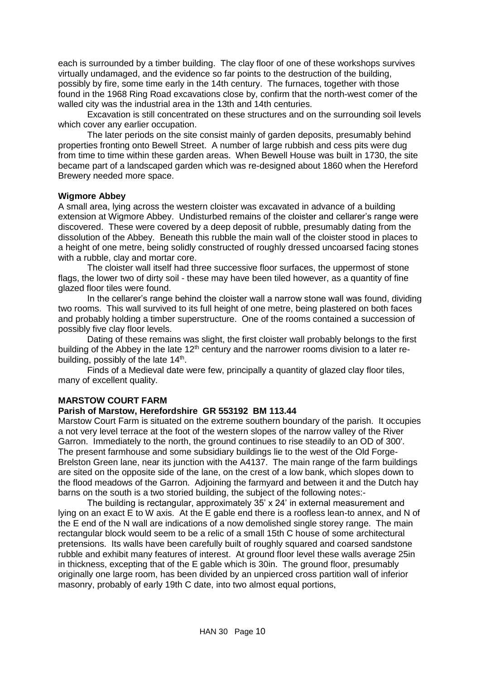each is surrounded by a timber building. The clay floor of one of these workshops survives virtually undamaged, and the evidence so far points to the destruction of the building, possibly by fire, some time early in the 14th century. The furnaces, together with those found in the 1968 Ring Road excavations close by, confirm that the north-west comer of the walled city was the industrial area in the 13th and 14th centuries.

Excavation is still concentrated on these structures and on the surrounding soil levels which cover any earlier occupation.

The later periods on the site consist mainly of garden deposits, presumably behind properties fronting onto Bewell Street. A number of large rubbish and cess pits were dug from time to time within these garden areas. When Bewell House was built in 1730, the site became part of a landscaped garden which was re-designed about 1860 when the Hereford Brewery needed more space.

#### **Wigmore Abbey**

A small area, lying across the western cloister was excavated in advance of a building extension at Wigmore Abbey. Undisturbed remains of the cloister and cellarer's range were discovered. These were covered by a deep deposit of rubble, presumably dating from the dissolution of the Abbey. Beneath this rubble the main wall of the cloister stood in places to a height of one metre, being solidly constructed of roughly dressed uncoarsed facing stones with a rubble, clay and mortar core.

The cloister wall itself had three successive floor surfaces, the uppermost of stone flags, the lower two of dirty soil - these may have been tiled however, as a quantity of fine glazed floor tiles were found.

In the cellarer's range behind the cloister wall a narrow stone wall was found, dividing two rooms. This wall survived to its full height of one metre, being plastered on both faces and probably holding a timber superstructure. One of the rooms contained a succession of possibly five clay floor levels.

Dating of these remains was slight, the first cloister wall probably belongs to the first building of the Abbey in the late  $12<sup>th</sup>$  century and the narrower rooms division to a later rebuilding, possibly of the late 14<sup>th</sup>.

Finds of a Medieval date were few, principally a quantity of glazed clay floor tiles, many of excellent quality.

#### <span id="page-10-0"></span>**MARSTOW COURT FARM**

# **Parish of Marstow, Herefordshire GR 553192 BM 113.44**

Marstow Court Farm is situated on the extreme southern boundary of the parish. It occupies a not very level terrace at the foot of the western slopes of the narrow valley of the River Garron. Immediately to the north, the ground continues to rise steadily to an OD of 300'. The present farmhouse and some subsidiary buildings lie to the west of the Old Forge-Brelston Green lane, near its junction with the A4137. The main range of the farm buildings are sited on the opposite side of the lane, on the crest of a low bank, which slopes down to the flood meadows of the Garron. Adjoining the farmyard and between it and the Dutch hay barns on the south is a two storied building, the subject of the following notes:-

The building is rectangular, approximately 35' x 24' in external measurement and lying on an exact E to W axis. At the E gable end there is a roofless lean-to annex, and N of the E end of the N wall are indications of a now demolished single storey range. The main rectangular block would seem to be a relic of a small 15th C house of some architectural pretensions. Its walls have been carefully built of roughly squared and coarsed sandstone rubble and exhibit many features of interest. At ground floor level these walls average 25in in thickness, excepting that of the E gable which is 30in. The ground floor, presumably originally one large room, has been divided by an unpierced cross partition wall of inferior masonry, probably of early 19th C date, into two almost equal portions,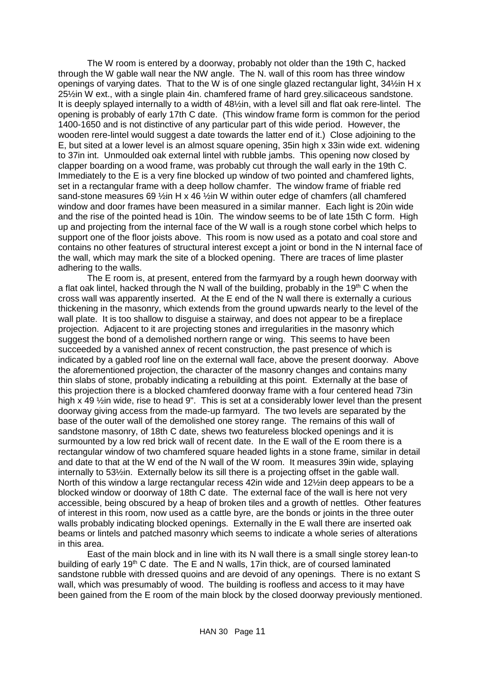The W room is entered by a doorway, probably not older than the 19th C, hacked through the W gable wall near the NW angle. The N. wall of this room has three window openings of varying dates. That to the W is of one single glazed rectangular light, 34½in H x 25½in W ext., with a single plain 4in. chamfered frame of hard grey.silicaceous sandstone. It is deeply splayed internally to a width of 48½in, with a level sill and flat oak rere-lintel. The opening is probably of early 17th C date. (This window frame form is common for the period 1400-1650 and is not distinctive of any particular part of this wide period. However, the wooden rere-lintel would suggest a date towards the latter end of it.) Close adjoining to the E, but sited at a lower level is an almost square opening, 35in high x 33in wide ext. widening to 37in int. Unmoulded oak external lintel with rubble jambs. This opening now closed by clapper boarding on a wood frame, was probably cut through the wall early in the 19th C. Immediately to the E is a very fine blocked up window of two pointed and chamfered lights, set in a rectangular frame with a deep hollow chamfer. The window frame of friable red sand-stone measures 69  $\frac{1}{2}$ in H x 46  $\frac{1}{2}$ in W within outer edge of chamfers (all chamfered window and door frames have been measured in a similar manner. Each light is 20in wide and the rise of the pointed head is 10in. The window seems to be of late 15th C form. High up and projecting from the internal face of the W wall is a rough stone corbel which helps to support one of the floor joists above. This room is now used as a potato and coal store and contains no other features of structural interest except a joint or bond in the N internal face of the wall, which may mark the site of a blocked opening. There are traces of lime plaster adhering to the walls.

The E room is, at present, entered from the farmyard by a rough hewn doorway with a flat oak lintel, hacked through the N wall of the building, probably in the 19<sup>th</sup> C when the cross wall was apparently inserted. At the E end of the N wall there is externally a curious thickening in the masonry, which extends from the ground upwards nearly to the level of the wall plate. It is too shallow to disguise a stairway, and does not appear to be a fireplace projection. Adjacent to it are projecting stones and irregularities in the masonry which suggest the bond of a demolished northern range or wing. This seems to have been succeeded by a vanished annex of recent construction, the past presence of which is indicated by a gabled roof line on the external wall face, above the present doorway. Above the aforementioned projection, the character of the masonry changes and contains many thin slabs of stone, probably indicating a rebuilding at this point. Externally at the base of this projection there is a blocked chamfered doorway frame with a four centered head 73in high x 49  $\frac{1}{2}$ in wide, rise to head 9". This is set at a considerably lower level than the present doorway giving access from the made-up farmyard. The two levels are separated by the base of the outer wall of the demolished one storey range. The remains of this wall of sandstone masonry, of 18th C date, shews two featureless blocked openings and it is surmounted by a low red brick wall of recent date. In the E wall of the E room there is a rectangular window of two chamfered square headed lights in a stone frame, similar in detail and date to that at the W end of the N wall of the W room. It measures 39in wide, splaying internally to 53½in. Externally below its sill there is a projecting offset in the gable wall. North of this window a large rectangular recess 42in wide and 12½in deep appears to be a blocked window or doorway of 18th C date. The external face of the wall is here not very accessible, being obscured by a heap of broken tiles and a growth of nettles. Other features of interest in this room, now used as a cattle byre, are the bonds or joints in the three outer walls probably indicating blocked openings. Externally in the E wall there are inserted oak beams or lintels and patched masonry which seems to indicate a whole series of alterations in this area.

East of the main block and in line with its N wall there is a small single storey lean-to building of early 19<sup>th</sup> C date. The E and N walls, 17in thick, are of coursed laminated sandstone rubble with dressed quoins and are devoid of any openings. There is no extant S wall, which was presumably of wood. The building is roofless and access to it may have been gained from the E room of the main block by the closed doorway previously mentioned.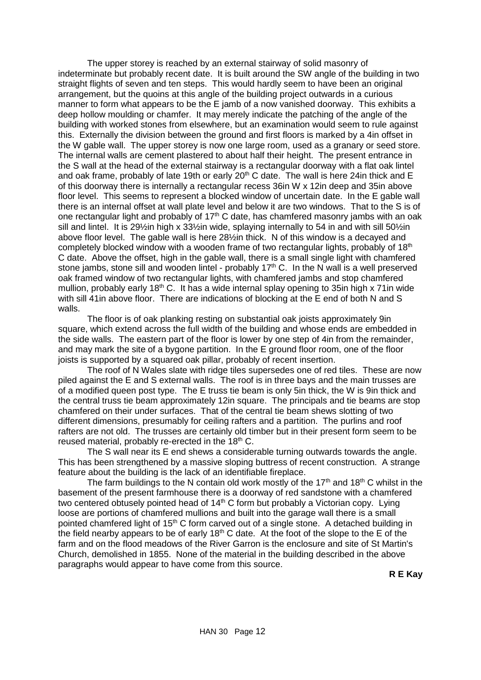The upper storey is reached by an external stairway of solid masonry of indeterminate but probably recent date. It is built around the SW angle of the building in two straight flights of seven and ten steps. This would hardly seem to have been an original arrangement, but the quoins at this angle of the building project outwards in a curious manner to form what appears to be the E jamb of a now vanished doorway. This exhibits a deep hollow moulding or chamfer. It may merely indicate the patching of the angle of the building with worked stones from elsewhere, but an examination would seem to rule against this. Externally the division between the ground and first floors is marked by a 4in offset in the W gable wall. The upper storey is now one large room, used as a granary or seed store. The internal walls are cement plastered to about half their height. The present entrance in the S wall at the head of the external stairway is a rectangular doorway with a flat oak lintel and oak frame, probably of late 19th or early  $20<sup>th</sup>$  C date. The wall is here 24in thick and E of this doorway there is internally a rectangular recess 36in W x 12in deep and 35in above floor level. This seems to represent a blocked window of uncertain date. In the E gable wall there is an internal offset at wall plate level and below it are two windows. That to the S is of one rectangular light and probably of  $17<sup>th</sup>$  C date, has chamfered masonry jambs with an oak sill and lintel. It is 29½in high x 33½in wide, splaying internally to 54 in and with sill 50½in above floor level. The gable wall is here 28½in thick. N of this window is a decayed and completely blocked window with a wooden frame of two rectangular lights, probably of 18<sup>th</sup> C date. Above the offset, high in the gable wall, there is a small single light with chamfered stone jambs, stone sill and wooden lintel - probably 17<sup>th</sup> C. In the N wall is a well preserved oak framed window of two rectangular lights, with chamfered jambs and stop chamfered mullion, probably early 18<sup>th</sup> C. It has a wide internal splay opening to 35in high x 71in wide with sill 41in above floor. There are indications of blocking at the E end of both N and S walls.

The floor is of oak planking resting on substantial oak joists approximately 9in square, which extend across the full width of the building and whose ends are embedded in the side walls. The eastern part of the floor is lower by one step of 4in from the remainder, and may mark the site of a bygone partition. In the E ground floor room, one of the floor joists is supported by a squared oak pillar, probably of recent insertion.

The roof of N Wales slate with ridge tiles supersedes one of red tiles. These are now piled against the E and S external walls. The roof is in three bays and the main trusses are of a modified queen post type. The E truss tie beam is only 5in thick, the W is 9in thick and the central truss tie beam approximately 12in square. The principals and tie beams are stop chamfered on their under surfaces. That of the central tie beam shews slotting of two different dimensions, presumably for ceiling rafters and a partition. The purlins and roof rafters are not old. The trusses are certainly old timber but in their present form seem to be reused material, probably re-erected in the 18<sup>th</sup> C.

The S wall near its E end shews a considerable turning outwards towards the angle. This has been strengthened by a massive sloping buttress of recent construction. A strange feature about the building is the lack of an identifiable fireplace.

The farm buildings to the N contain old work mostly of the 17<sup>th</sup> and 18<sup>th</sup> C whilst in the basement of the present farmhouse there is a doorway of red sandstone with a chamfered two centered obtusely pointed head of  $14<sup>th</sup>$  C form but probably a Victorian copy. Lying loose are portions of chamfered mullions and built into the garage wall there is a small pointed chamfered light of 15<sup>th</sup> C form carved out of a single stone. A detached building in the field nearby appears to be of early  $18<sup>th</sup>$  C date. At the foot of the slope to the E of the farm and on the flood meadows of the River Garron is the enclosure and site of St Martin's Church, demolished in 1855. None of the material in the building described in the above paragraphs would appear to have come from this source.

**R E Kay**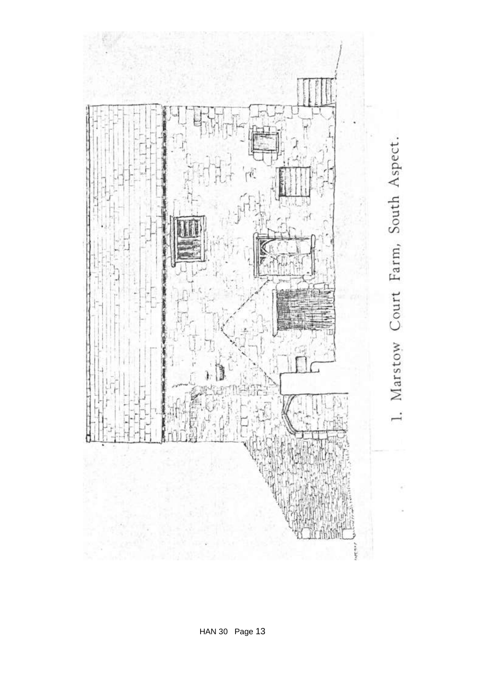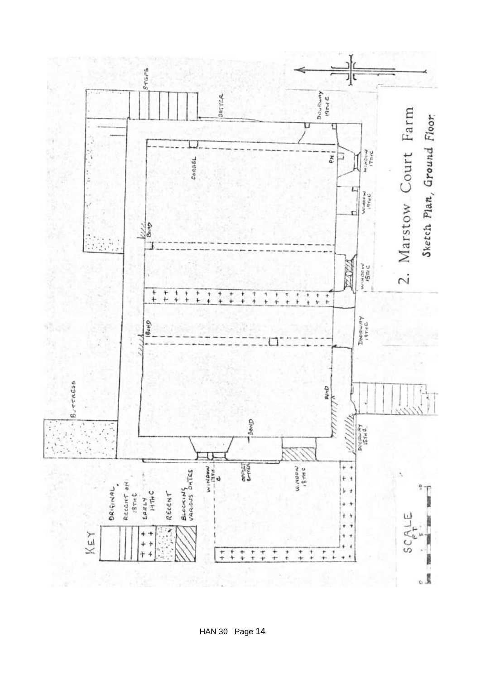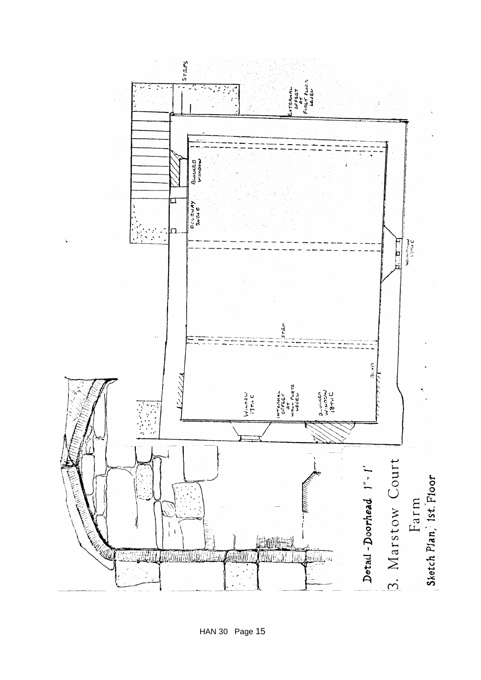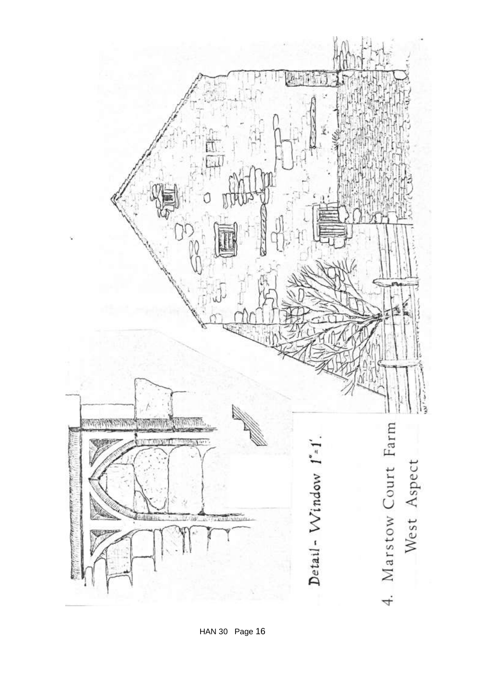

HAN 30 Page 16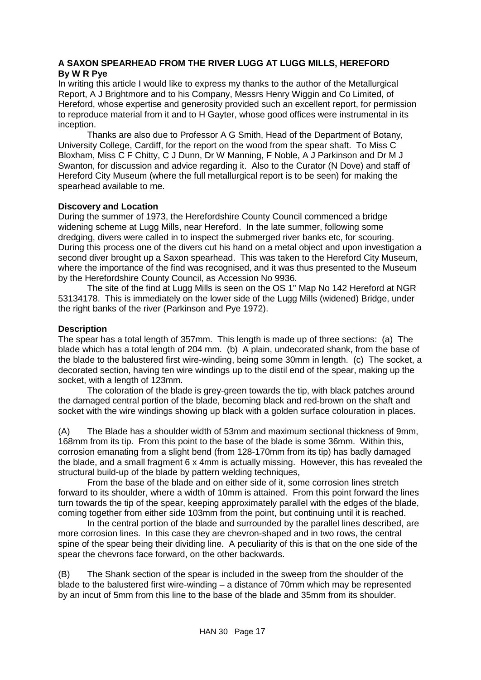#### <span id="page-17-0"></span>**A SAXON SPEARHEAD FROM THE RIVER LUGG AT LUGG MILLS, HEREFORD By W R Pye**

In writing this article I would like to express my thanks to the author of the Metallurgical Report, A J Brightmore and to his Company, Messrs Henry Wiggin and Co Limited, of Hereford, whose expertise and generosity provided such an excellent report, for permission to reproduce material from it and to H Gayter, whose good offices were instrumental in its inception.

Thanks are also due to Professor A G Smith, Head of the Department of Botany, University College, Cardiff, for the report on the wood from the spear shaft. To Miss C Bloxham, Miss C F Chitty, C J Dunn, Dr W Manning, F Noble, A J Parkinson and Dr M J Swanton, for discussion and advice regarding it. Also to the Curator (N Dove) and staff of Hereford City Museum (where the full metallurgical report is to be seen) for making the spearhead available to me.

# **Discovery and Location**

During the summer of 1973, the Herefordshire County Council commenced a bridge widening scheme at Lugg Mills, near Hereford. In the late summer, following some dredging, divers were called in to inspect the submerged river banks etc, for scouring. During this process one of the divers cut his hand on a metal object and upon investigation a second diver brought up a Saxon spearhead. This was taken to the Hereford City Museum, where the importance of the find was recognised, and it was thus presented to the Museum by the Herefordshire County Council, as Accession No 9936.

The site of the find at Lugg Mills is seen on the OS 1" Map No 142 Hereford at NGR 53134178. This is immediately on the lower side of the Lugg Mills (widened) Bridge, under the right banks of the river (Parkinson and Pye 1972).

# **Description**

The spear has a total length of 357mm. This length is made up of three sections: (a) The blade which has a total length of 204 mm. (b) A plain, undecorated shank, from the base of the blade to the balustered first wire-winding, being some 30mm in length. (c) The socket, a decorated section, having ten wire windings up to the distil end of the spear, making up the socket, with a length of 123mm.

The coloration of the blade is grey-green towards the tip, with black patches around the damaged central portion of the blade, becoming black and red-brown on the shaft and socket with the wire windings showing up black with a golden surface colouration in places.

(A) The Blade has a shoulder width of 53mm and maximum sectional thickness of 9mm, 168mm from its tip. From this point to the base of the blade is some 36mm. Within this, corrosion emanating from a slight bend (from 128-170mm from its tip) has badly damaged the blade, and a small fragment 6 x 4mm is actually missing. However, this has revealed the structural build-up of the blade by pattern welding techniques,

From the base of the blade and on either side of it, some corrosion lines stretch forward to its shoulder, where a width of 10mm is attained. From this point forward the lines turn towards the tip of the spear, keeping approximately parallel with the edges of the blade, coming together from either side 103mm from the point, but continuing until it is reached.

In the central portion of the blade and surrounded by the parallel lines described, are more corrosion lines. In this case they are chevron-shaped and in two rows, the central spine of the spear being their dividing line. A peculiarity of this is that on the one side of the spear the chevrons face forward, on the other backwards.

(B) The Shank section of the spear is included in the sweep from the shoulder of the blade to the balustered first wire-winding – a distance of 70mm which may be represented by an incut of 5mm from this line to the base of the blade and 35mm from its shoulder.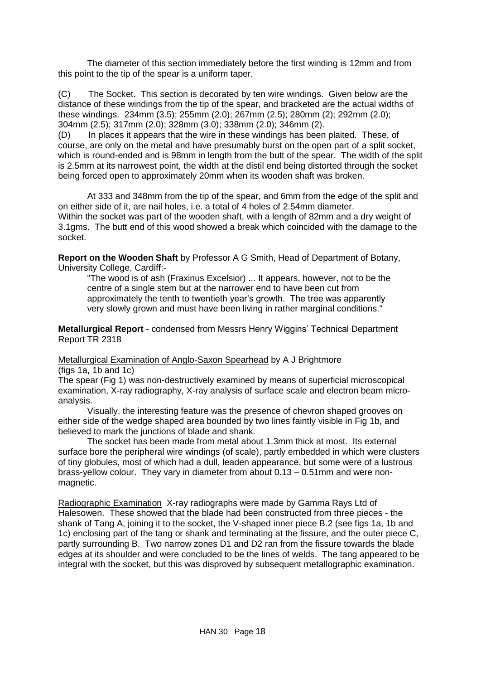The diameter of this section immediately before the first winding is 12mm and from this point to the tip of the spear is a uniform taper.

(C) The Socket. This section is decorated by ten wire windings. Given below are the distance of these windings from the tip of the spear, and bracketed are the actual widths of these windings. 234mm (3.5); 255mm (2.0); 267mm (2.5); 280mm (2); 292mm (2.0); 304mm (2.5); 317mm (2.0); 328mm (3.0); 338mm (2.0); 346mm (2).

(D) In places it appears that the wire in these windings has been plaited. These, of course, are only on the metal and have presumably burst on the open part of a split socket, which is round-ended and is 98mm in length from the butt of the spear. The width of the split is 2.5mm at its narrowest point, the width at the distil end being distorted through the socket being forced open to approximately 20mm when its wooden shaft was broken.

At 333 and 348mm from the tip of the spear, and 6mm from the edge of the split and on either side of it, are nail holes, i.e. a total of 4 holes of 2.54mm diameter. Within the socket was part of the wooden shaft, with a length of 82mm and a dry weight of 3.1gms. The butt end of this wood showed a break which coincided with the damage to the socket.

**Report on the Wooden Shaft** by Professor A G Smith, Head of Department of Botany, University College, Cardiff:-

"The wood is of ash (Fraxinus Excelsior) ... It appears, however, not to be the centre of a single stem but at the narrower end to have been cut from approximately the tenth to twentieth year's growth. The tree was apparently very slowly grown and must have been living in rather marginal conditions."

**Metallurgical Report** - condensed from Messrs Henry Wiggins' Technical Department Report TR 2318

Metallurgical Examination of Anglo-Saxon Spearhead by A J Brightmore (figs 1a, 1b and 1c)

The spear (Fig 1) was non-destructively examined by means of superficial microscopical examination, X-ray radiography, X-ray analysis of surface scale and electron beam microanalysis.

Visually, the interesting feature was the presence of chevron shaped grooves on either side of the wedge shaped area bounded by two lines faintly visible in Fig 1b, and believed to mark the junctions of blade and shank.

The socket has been made from metal about 1.3mm thick at most. Its external surface bore the peripheral wire windings (of scale), partly embedded in which were clusters of tiny globules, most of which had a dull, leaden appearance, but some were of a lustrous brass-yellow colour. They vary in diameter from about 0.13 – 0.51mm and were nonmagnetic.

Radiographic Examination X-ray radiographs were made by Gamma Rays Ltd of Halesowen. These showed that the blade had been constructed from three pieces - the shank of Tang A, joining it to the socket, the V-shaped inner piece B.2 (see figs 1a, 1b and 1c) enclosing part of the tang or shank and terminating at the fissure, and the outer piece C, partly surrounding B. Two narrow zones D1 and D2 ran from the fissure towards the blade edges at its shoulder and were concluded to be the lines of welds. The tang appeared to be integral with the socket, but this was disproved by subsequent metallographic examination.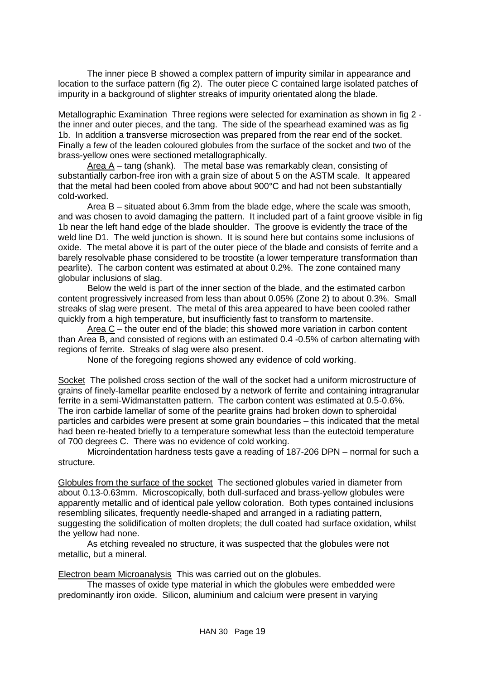The inner piece B showed a complex pattern of impurity similar in appearance and location to the surface pattern (fig 2). The outer piece C contained large isolated patches of impurity in a background of slighter streaks of impurity orientated along the blade.

Metallographic Examination Three regions were selected for examination as shown in fig 2 the inner and outer pieces, and the tang. The side of the spearhead examined was as fig 1b. In addition a transverse microsection was prepared from the rear end of the socket. Finally a few of the leaden coloured globules from the surface of the socket and two of the brass-yellow ones were sectioned metallographically.

Area A – tang (shank). The metal base was remarkably clean, consisting of substantially carbon-free iron with a grain size of about 5 on the ASTM scale. It appeared that the metal had been cooled from above about 900°C and had not been substantially cold-worked.

Area B – situated about 6.3mm from the blade edge, where the scale was smooth, and was chosen to avoid damaging the pattern. It included part of a faint groove visible in fig 1b near the left hand edge of the blade shoulder. The groove is evidently the trace of the weld line D1. The weld junction is shown. It is sound here but contains some inclusions of oxide. The metal above it is part of the outer piece of the blade and consists of ferrite and a barely resolvable phase considered to be troostite (a lower temperature transformation than pearlite). The carbon content was estimated at about 0.2%. The zone contained many globular inclusions of slag.

Below the weld is part of the inner section of the blade, and the estimated carbon content progressively increased from less than about 0.05% (Zone 2) to about 0.3%. Small streaks of slag were present. The metal of this area appeared to have been cooled rather quickly from a high temperature, but insufficiently fast to transform to martensite.

Area C – the outer end of the blade; this showed more variation in carbon content than Area B, and consisted of regions with an estimated 0.4 -0.5% of carbon alternating with regions of ferrite. Streaks of slag were also present.

None of the foregoing regions showed any evidence of cold working.

Socket The polished cross section of the wall of the socket had a uniform microstructure of grains of finely-lamellar pearlite enclosed by a network of ferrite and containing intragranular ferrite in a semi-Widmanstatten pattern. The carbon content was estimated at 0.5-0.6%. The iron carbide lamellar of some of the pearlite grains had broken down to spheroidal particles and carbides were present at some grain boundaries – this indicated that the metal had been re-heated briefly to a temperature somewhat less than the eutectoid temperature of 700 degrees C. There was no evidence of cold working.

Microindentation hardness tests gave a reading of 187-206 DPN – normal for such a structure.

Globules from the surface of the socket The sectioned globules varied in diameter from about 0.13-0.63mm. Microscopically, both dull-surfaced and brass-yellow globules were apparently metallic and of identical pale yellow coloration. Both types contained inclusions resembling silicates, frequently needle-shaped and arranged in a radiating pattern, suggesting the solidification of molten droplets; the dull coated had surface oxidation, whilst the yellow had none.

As etching revealed no structure, it was suspected that the globules were not metallic, but a mineral.

Electron beam Microanalysis This was carried out on the globules.

The masses of oxide type material in which the globules were embedded were predominantly iron oxide. Silicon, aluminium and calcium were present in varying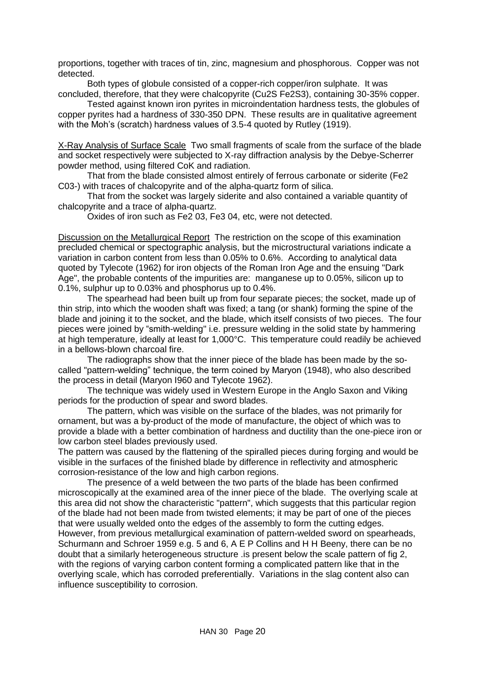proportions, together with traces of tin, zinc, magnesium and phosphorous. Copper was not detected.

Both types of globule consisted of a copper-rich copper/iron sulphate. It was concluded, therefore, that they were chalcopyrite (Cu2S Fe2S3), containing 30-35% copper.

Tested against known iron pyrites in microindentation hardness tests, the globules of copper pyrites had a hardness of 330-350 DPN. These results are in qualitative agreement with the Moh's (scratch) hardness values of 3.5-4 quoted by Rutley (1919).

X-Ray Analysis of Surface Scale Two small fragments of scale from the surface of the blade and socket respectively were subjected to X-ray diffraction analysis by the Debye-Scherrer powder method, using filtered CoK and radiation.

That from the blade consisted almost entirely of ferrous carbonate or siderite (Fe2 C03-) with traces of chalcopyrite and of the alpha-quartz form of silica.

That from the socket was largely siderite and also contained a variable quantity of chalcopyrite and a trace of alpha-quartz.

Oxides of iron such as Fe2 03, Fe3 04, etc, were not detected.

Discussion on the Metallurgical Report The restriction on the scope of this examination precluded chemical or spectographic analysis, but the microstructural variations indicate a variation in carbon content from less than 0.05% to 0.6%. According to analytical data quoted by Tylecote (1962) for iron objects of the Roman Iron Age and the ensuing "Dark Age", the probable contents of the impurities are: manganese up to 0.05%, silicon up to 0.1%, sulphur up to 0.03% and phosphorus up to 0.4%.

The spearhead had been built up from four separate pieces; the socket, made up of thin strip, into which the wooden shaft was fixed; a tang (or shank) forming the spine of the blade and joining it to the socket, and the blade, which itself consists of two pieces. The four pieces were joined by "smith-welding" i.e. pressure welding in the solid state by hammering at high temperature, ideally at least for 1,000°C. This temperature could readily be achieved in a bellows-blown charcoal fire.

The radiographs show that the inner piece of the blade has been made by the socalled "pattern-welding" technique, the term coined by Maryon (1948), who also described the process in detail (Maryon I960 and Tylecote 1962).

The technique was widely used in Western Europe in the Anglo Saxon and Viking periods for the production of spear and sword blades.

The pattern, which was visible on the surface of the blades, was not primarily for ornament, but was a by-product of the mode of manufacture, the object of which was to provide a blade with a better combination of hardness and ductility than the one-piece iron or low carbon steel blades previously used.

The pattern was caused by the flattening of the spiralled pieces during forging and would be visible in the surfaces of the finished blade by difference in reflectivity and atmospheric corrosion-resistance of the low and high carbon regions.

The presence of a weld between the two parts of the blade has been confirmed microscopically at the examined area of the inner piece of the blade. The overlying scale at this area did not show the characteristic "pattern", which suggests that this particular region of the blade had not been made from twisted elements; it may be part of one of the pieces that were usually welded onto the edges of the assembly to form the cutting edges. However, from previous metallurgical examination of pattern-welded sword on spearheads, Schurmann and Schroer 1959 e.g. 5 and 6, A E P Collins and H H Beeny, there can be no doubt that a similarly heterogeneous structure .is present below the scale pattern of fig 2, with the regions of varying carbon content forming a complicated pattern like that in the overlying scale, which has corroded preferentially. Variations in the slag content also can influence susceptibility to corrosion.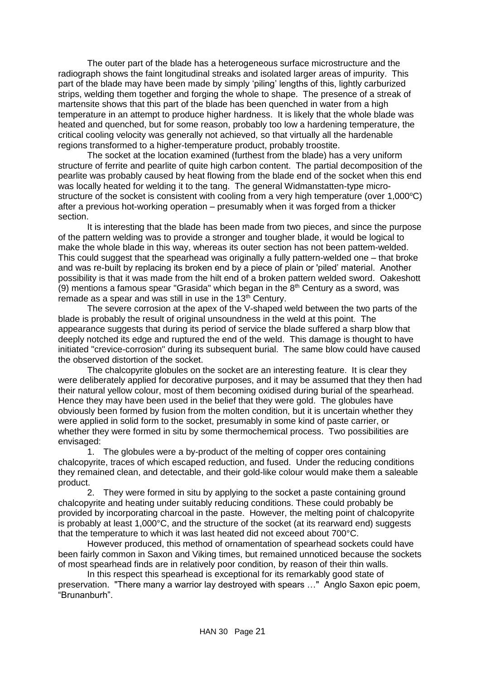The outer part of the blade has a heterogeneous surface microstructure and the radiograph shows the faint longitudinal streaks and isolated larger areas of impurity. This part of the blade may have been made by simply 'piling' lengths of this, lightly carburized strips, welding them together and forging the whole to shape. The presence of a streak of martensite shows that this part of the blade has been quenched in water from a high temperature in an attempt to produce higher hardness. It is likely that the whole blade was heated and quenched, but for some reason, probably too low a hardening temperature, the critical cooling velocity was generally not achieved, so that virtually all the hardenable regions transformed to a higher-temperature product, probably troostite.

The socket at the location examined (furthest from the blade) has a very uniform structure of ferrite and pearlite of quite high carbon content. The partial decomposition of the pearlite was probably caused by heat flowing from the blade end of the socket when this end was locally heated for welding it to the tang. The general Widmanstatten-type microstructure of the socket is consistent with cooling from a very high temperature (over 1,000°C) after a previous hot-working operation – presumably when it was forged from a thicker section.

It is interesting that the blade has been made from two pieces, and since the purpose of the pattern welding was to provide a stronger and tougher blade, it would be logical to make the whole blade in this way, whereas its outer section has not been pattem-welded. This could suggest that the spearhead was originally a fully pattern-welded one – that broke and was re-built by replacing its broken end by a piece of plain or 'piled' material. Another possibility is that it was made from the hilt end of a broken pattern welded sword. Oakeshott (9) mentions a famous spear "Grasida" which began in the  $8<sup>th</sup>$  Century as a sword, was remade as a spear and was still in use in the  $13<sup>th</sup>$  Century.

The severe corrosion at the apex of the V-shaped weld between the two parts of the blade is probably the result of original unsoundness in the weld at this point. The appearance suggests that during its period of service the blade suffered a sharp blow that deeply notched its edge and ruptured the end of the weld. This damage is thought to have initiated "crevice-corrosion" during its subsequent burial. The same blow could have caused the observed distortion of the socket.

The chalcopyrite globules on the socket are an interesting feature. It is clear they were deliberately applied for decorative purposes, and it may be assumed that they then had their natural yellow colour, most of them becoming oxidised during burial of the spearhead. Hence they may have been used in the belief that they were gold. The globules have obviously been formed by fusion from the molten condition, but it is uncertain whether they were applied in solid form to the socket, presumably in some kind of paste carrier, or whether they were formed in situ by some thermochemical process. Two possibilities are envisaged:

1. The globules were a by-product of the melting of copper ores containing chalcopyrite, traces of which escaped reduction, and fused. Under the reducing conditions they remained clean, and detectable, and their gold-like colour would make them a saleable product.

2. They were formed in situ by applying to the socket a paste containing ground chalcopyrite and heating under suitably reducing conditions. These could probably be provided by incorporating charcoal in the paste. However, the melting point of chalcopyrite is probably at least 1,000°C, and the structure of the socket (at its rearward end) suggests that the temperature to which it was last heated did not exceed about 700°C.

However produced, this method of ornamentation of spearhead sockets could have been fairly common in Saxon and Viking times, but remained unnoticed because the sockets of most spearhead finds are in relatively poor condition, by reason of their thin walls.

In this respect this spearhead is exceptional for its remarkably good state of preservation. "There many a warrior lay destroyed with spears …" Anglo Saxon epic poem, "Brunanburh".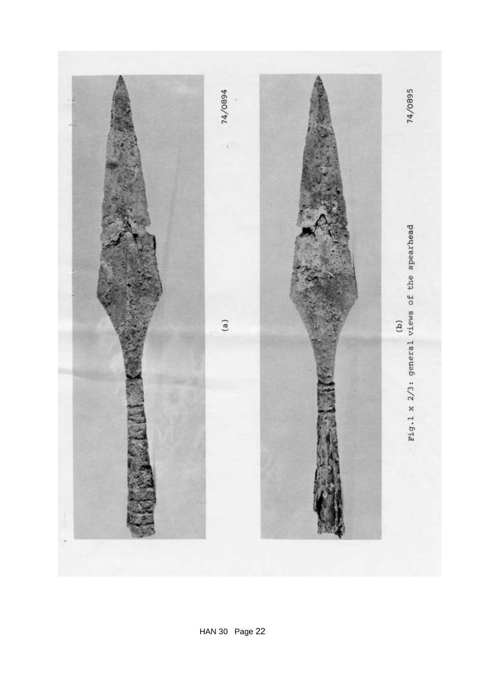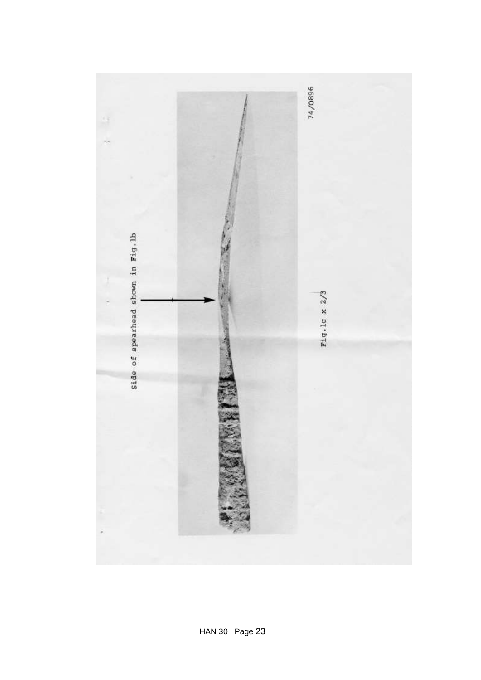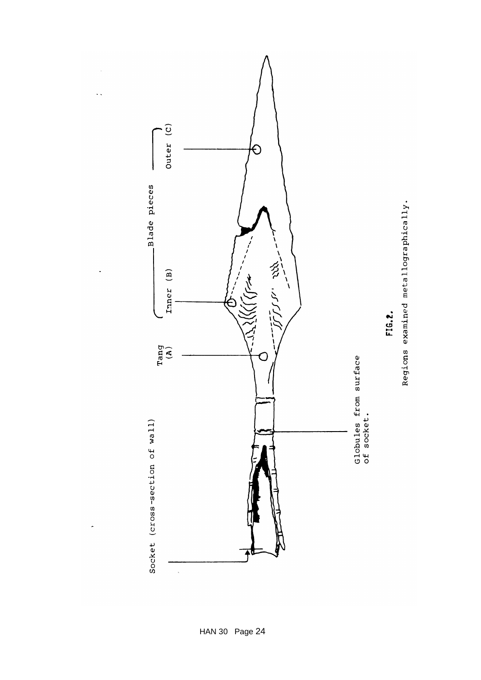

÷,

 $\ddot{\cdot}$ 

 $\ddot{\phantom{0}}$ 

 $\cdot$ 

Regions examined metallographically.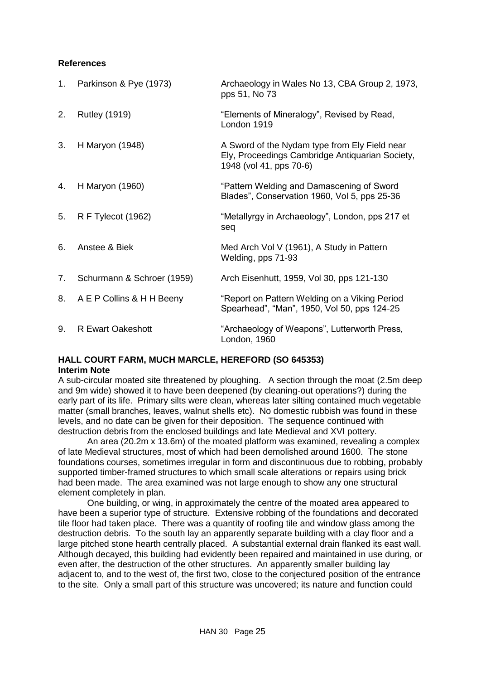#### **References**

| 1. | Parkinson & Pye (1973)     | Archaeology in Wales No 13, CBA Group 2, 1973,<br>pps 51, No 73                                                             |
|----|----------------------------|-----------------------------------------------------------------------------------------------------------------------------|
| 2. | <b>Rutley (1919)</b>       | "Elements of Mineralogy", Revised by Read,<br>London 1919                                                                   |
| 3. | H Maryon (1948)            | A Sword of the Nydam type from Ely Field near<br>Ely, Proceedings Cambridge Antiquarian Society,<br>1948 (vol 41, pps 70-6) |
| 4. | H Maryon (1960)            | "Pattern Welding and Damascening of Sword<br>Blades", Conservation 1960, Vol 5, pps 25-36                                   |
| 5. | R F Tylecot (1962)         | "Metallyrgy in Archaeology", London, pps 217 et<br>seq                                                                      |
| 6. | Anstee & Biek              | Med Arch Vol V (1961), A Study in Pattern<br>Welding, pps 71-93                                                             |
| 7. | Schurmann & Schroer (1959) | Arch Eisenhutt, 1959, Vol 30, pps 121-130                                                                                   |
| 8. | A E P Collins & H H Beeny  | "Report on Pattern Welding on a Viking Period<br>Spearhead", "Man", 1950, Vol 50, pps 124-25                                |
| 9. | <b>R Ewart Oakeshott</b>   | "Archaeology of Weapons", Lutterworth Press,<br>London, 1960                                                                |

# <span id="page-25-0"></span>**HALL COURT FARM, MUCH MARCLE, HEREFORD (SO 645353) Interim Note**

A sub-circular moated site threatened by ploughing. A section through the moat (2.5m deep and 9m wide) showed it to have been deepened (by cleaning-out operations?) during the early part of its life. Primary silts were clean, whereas later silting contained much vegetable matter (small branches, leaves, walnut shells etc). No domestic rubbish was found in these levels, and no date can be given for their deposition. The sequence continued with destruction debris from the enclosed buildings and late Medieval and XVI pottery.

An area (20.2m x 13.6m) of the moated platform was examined, revealing a complex of late Medieval structures, most of which had been demolished around 1600. The stone foundations courses, sometimes irregular in form and discontinuous due to robbing, probably supported timber-framed structures to which small scale alterations or repairs using brick had been made. The area examined was not large enough to show any one structural element completely in plan.

One building, or wing, in approximately the centre of the moated area appeared to have been a superior type of structure. Extensive robbing of the foundations and decorated tile floor had taken place. There was a quantity of roofing tile and window glass among the destruction debris. To the south lay an apparently separate building with a clay floor and a large pitched stone hearth centrally placed. A substantial external drain flanked its east wall. Although decayed, this building had evidently been repaired and maintained in use during, or even after, the destruction of the other structures. An apparently smaller building lay adjacent to, and to the west of, the first two, close to the conjectured position of the entrance to the site. Only a small part of this structure was uncovered; its nature and function could